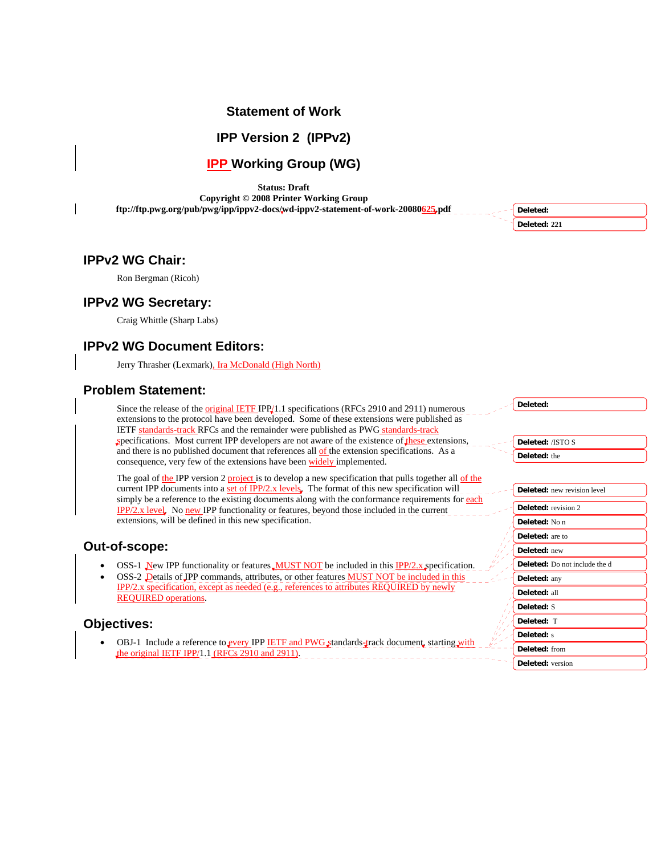# **Statement of Work**

**IPP Version 2 (IPPv2)** 

# **IPP Working Group (WG)**

**Status: Draft** 

**Copyright © 2008 Printer Working Group ftp://ftp.pwg.org/pub/pwg/ipp/ippv2-docs/wd-ippv2-statement-of-work-20080625.pdf** 

**Deleted: Deleted: 221**

**Deleted:** 

**Deleted:** all **Deleted:** S **Deleted:** T **Deleted:** s **Deleted:** from **Deleted:** version

# **IPPv2 WG Chair:**

Ron Bergman (Ricoh)

### **IPPv2 WG Secretary:**

Craig Whittle (Sharp Labs)

# **IPPv2 WG Document Editors:**

Jerry Thrasher (Lexmark), Ira McDonald (High North)

### **Problem Statement:**

Since the release of the *original IETF IPP*<sup>11</sup>.1 specifications (RFCs 2910 and 2911) numerous extensions to the protocol have been developed. Some of these extensions were published as IETF standards-track RFCs and the remainder were published as PWG standards-track specifications. Most current IPP developers are not aware of the existence of these extensions and there is no published document that references all of the extension specifications. As a consequence, very few of the extensions have been widely implemented.

The goal of the IPP version 2 project is to develop a new specification that pulls together all of the current IPP documents into a  $\frac{\text{set of IPP}/2.x \text{ levels}}{x}$ . The format of this new specification will simply be a reference to the existing documents along with the conformance requirements for each IPP/2.x level. No new IPP functionality or features, beyond those included in the current extensions, will be defined in this new specification.

### **Out-of-scope:**

- OSS-1 New IPP functionality or features MUST NOT be included in this IPP/2.x specification.
- OSS-2 Details of JPP commands, attributes, or other features **MUST NOT** be included in this IPP/2.x specification, except as needed (e.g., references to attributes REQUIRED by newly REQUIRED operations.

# **Objectives:**

OBJ-1 Include a reference to every IPP IETF and PWG standards-track document, starting with the original IETF IPP/1.1 (RFCs 2910 and 2911).

| <b>Deleted:</b> /ISTO S              |
|--------------------------------------|
| Deleted: the                         |
|                                      |
|                                      |
| <b>Deleted:</b> new revision level   |
|                                      |
| <b>Deleted:</b> revision 2           |
| Deleted: No n                        |
| <b>Deleted:</b> are to               |
| Deleted: new                         |
| <b>Deleted:</b> Do not include the d |
| Deleted: any                         |